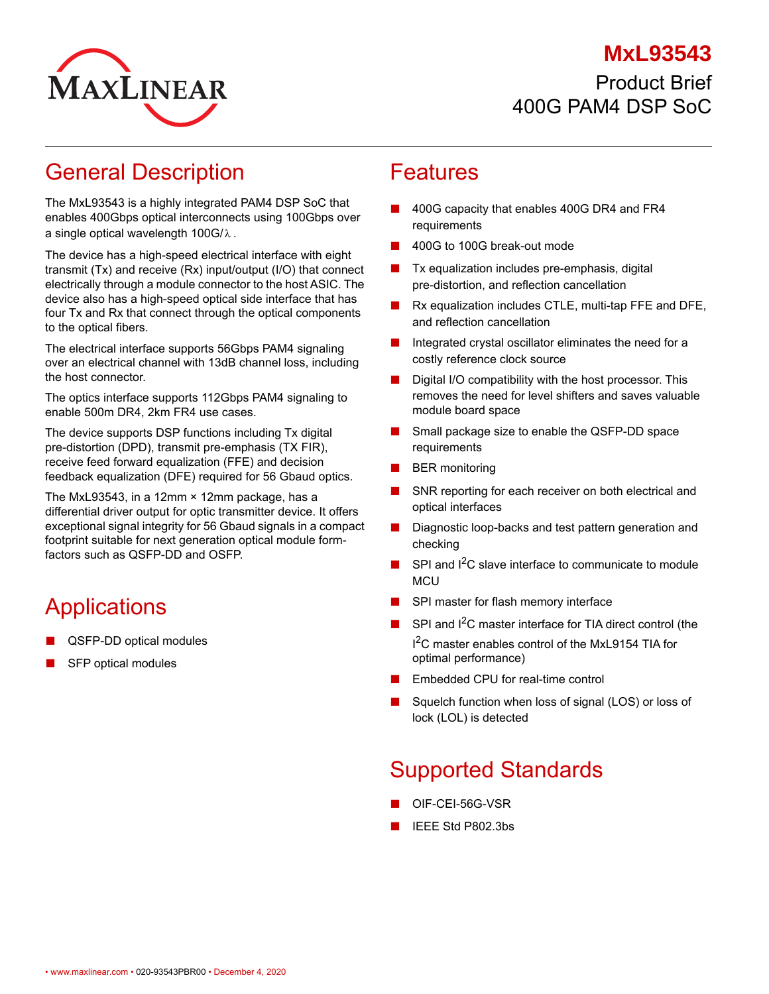#### **MxL93543**



Product Brief 400G PAM4 DSP SoC

## General Description

The MxL93543 is a highly integrated PAM4 DSP SoC that enables 400Gbps optical interconnects using 100Gbps over a single optical wavelength 100G/ $\lambda$  .

The device has a high-speed electrical interface with eight transmit (Tx) and receive (Rx) input/output (I/O) that connect electrically through a module connector to the host ASIC. The device also has a high-speed optical side interface that has four Tx and Rx that connect through the optical components to the optical fibers.

The electrical interface supports 56Gbps PAM4 signaling over an electrical channel with 13dB channel loss, including the host connector.

The optics interface supports 112Gbps PAM4 signaling to enable 500m DR4, 2km FR4 use cases.

The device supports DSP functions including Tx digital pre-distortion (DPD), transmit pre-emphasis (TX FIR), receive feed forward equalization (FFE) and decision feedback equalization (DFE) required for 56 Gbaud optics.

The MxL93543, in a 12mm × 12mm package, has a differential driver output for optic transmitter device. It offers exceptional signal integrity for 56 Gbaud signals in a compact footprint suitable for next generation optical module formfactors such as QSFP-DD and OSFP.

# **Applications**

- QSFP-DD optical modules
- SFP optical modules

#### Features

- 400G capacity that enables 400G DR4 and FR4 requirements
- 400G to 100G break-out mode
- Tx equalization includes pre-emphasis, digital pre-distortion, and reflection cancellation
- Rx equalization includes CTLE, multi-tap FFE and DFE, and reflection cancellation
- Integrated crystal oscillator eliminates the need for a costly reference clock source
- Digital I/O compatibility with the host processor. This removes the need for level shifters and saves valuable module board space
- Small package size to enable the QSFP-DD space requirements
- **BER** monitoring
- SNR reporting for each receiver on both electrical and optical interfaces
- Diagnostic loop-backs and test pattern generation and checking
- SPI and  $I^2C$  slave interface to communicate to module **MCU**
- SPI master for flash memory interface
- SPI and I<sup>2</sup>C master interface for TIA direct control (the I<sup>2</sup>C master enables control of the MxL9154 TIA for optimal performance)
- Embedded CPU for real-time control
- Squelch function when loss of signal (LOS) or loss of lock (LOL) is detected

# Supported Standards

- OIF-CEI-56G-VSR
- IEEE Std P802.3bs